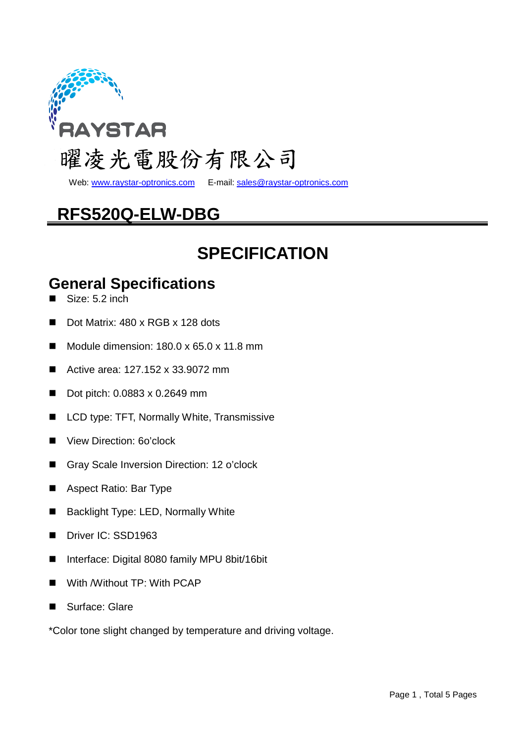

Web: www.raystar-optronics.com E-mail: sales@raystar-optronics.com

# **RFS520Q-ELW-DBG**

# **SPECIFICATION**

### **General Specifications**

- Size: 5.2 inch
- Dot Matrix: 480 x RGB x 128 dots
- Module dimension:  $180.0 \times 65.0 \times 11.8 \text{ mm}$
- Active area: 127.152 x 33.9072 mm
- Dot pitch: 0.0883 x 0.2649 mm
- LCD type: TFT, Normally White, Transmissive
- View Direction: 6o'clock
- Gray Scale Inversion Direction: 12 o'clock
- Aspect Ratio: Bar Type
- Backlight Type: LED, Normally White
- Driver IC: SSD1963
- Interface: Digital 8080 family MPU 8bit/16bit
- **With Without TP: With PCAP**
- Surface: Glare

\*Color tone slight changed by temperature and driving voltage.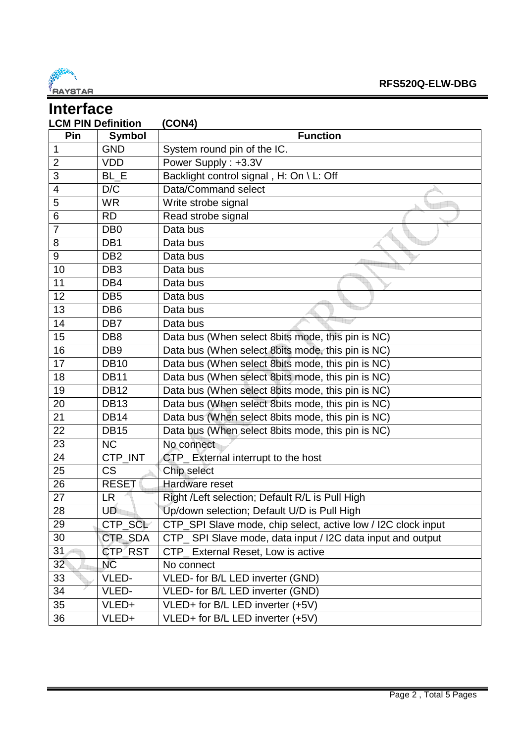

| <b>Interface</b> |                           |                                                               |  |  |  |  |
|------------------|---------------------------|---------------------------------------------------------------|--|--|--|--|
|                  | <b>LCM PIN Definition</b> | (CON4)                                                        |  |  |  |  |
| Pin              | <b>Symbol</b>             | <b>Function</b>                                               |  |  |  |  |
| $\mathbf 1$      | <b>GND</b>                | System round pin of the IC.                                   |  |  |  |  |
| $\overline{2}$   | <b>VDD</b>                | Power Supply: +3.3V                                           |  |  |  |  |
| 3                | BL_E                      | Backlight control signal, H: On \ L: Off                      |  |  |  |  |
| $\overline{4}$   | D/C                       | Data/Command select                                           |  |  |  |  |
| 5                | <b>WR</b>                 | Write strobe signal                                           |  |  |  |  |
| 6                | <b>RD</b>                 | Read strobe signal                                            |  |  |  |  |
| $\overline{7}$   | DB <sub>0</sub>           | Data bus                                                      |  |  |  |  |
| 8                | DB <sub>1</sub>           | Data bus                                                      |  |  |  |  |
| 9                | DB <sub>2</sub>           | Data bus                                                      |  |  |  |  |
| 10               | DB <sub>3</sub>           | Data bus                                                      |  |  |  |  |
| 11               | DB4                       | Data bus                                                      |  |  |  |  |
| 12               | DB <sub>5</sub>           | Data bus                                                      |  |  |  |  |
| 13               | DB <sub>6</sub>           | Data bus                                                      |  |  |  |  |
| 14               | DB7                       | Data bus                                                      |  |  |  |  |
| 15               | DB <sub>8</sub>           | Data bus (When select 8bits mode, this pin is NC)             |  |  |  |  |
| 16               | DB <sub>9</sub>           | Data bus (When select 8bits mode, this pin is NC)             |  |  |  |  |
| 17               | <b>DB10</b>               | Data bus (When select 8bits mode, this pin is NC)             |  |  |  |  |
| 18               | <b>DB11</b>               | Data bus (When select 8bits mode, this pin is NC)             |  |  |  |  |
| 19               | <b>DB12</b>               | Data bus (When select 8bits mode, this pin is NC)             |  |  |  |  |
| 20               | <b>DB13</b>               | Data bus (When select 8bits mode, this pin is NC)             |  |  |  |  |
| 21               | <b>DB14</b>               | Data bus (When select 8bits mode, this pin is NC)             |  |  |  |  |
| 22               | <b>DB15</b>               | Data bus (When select 8bits mode, this pin is NC)             |  |  |  |  |
| 23               | <b>NC</b>                 | No connect                                                    |  |  |  |  |
| 24               | CTP_INT                   | CTP_External interrupt to the host                            |  |  |  |  |
| 25               | <b>CS</b>                 | Chip select                                                   |  |  |  |  |
| 26               | <b>RESET</b>              | Hardware reset                                                |  |  |  |  |
| 27               | <b>LR</b>                 | Right /Left selection; Default R/L is Pull High               |  |  |  |  |
| 28               | UD.                       | Up/down selection; Default U/D is Pull High                   |  |  |  |  |
| 29               | CTP_SCL                   | CTP_SPI Slave mode, chip select, active low / I2C clock input |  |  |  |  |
| 30               | CTP_SDA                   | CTP_SPI Slave mode, data input / I2C data input and output    |  |  |  |  |
| 31               | CTP_RST                   | CTP_ External Reset, Low is active                            |  |  |  |  |
| 32 <sub>2</sub>  | <b>NC</b>                 | No connect                                                    |  |  |  |  |
| 33               | VLED-                     | VLED- for B/L LED inverter (GND)                              |  |  |  |  |
| 34               | VLED-                     | VLED- for B/L LED inverter (GND)                              |  |  |  |  |
| 35               | VLED+                     | VLED+ for B/L LED inverter (+5V)                              |  |  |  |  |
| 36               | VLED+                     | VLED+ for B/L LED inverter (+5V)                              |  |  |  |  |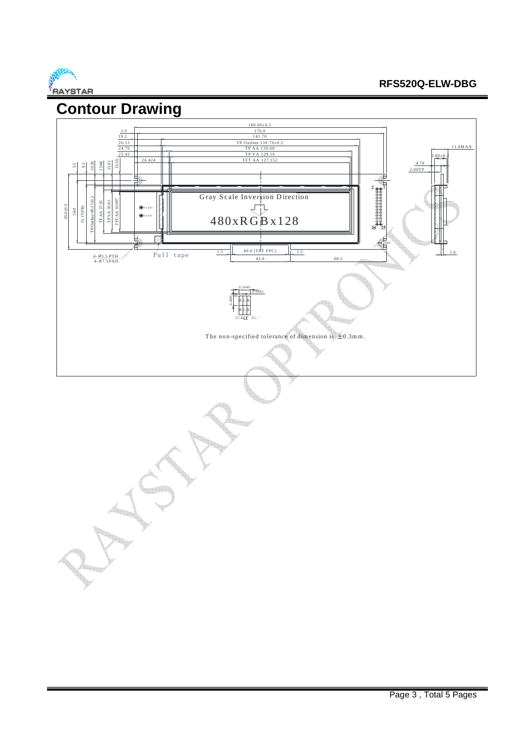

### **RFS520Q-ELW-DBG**

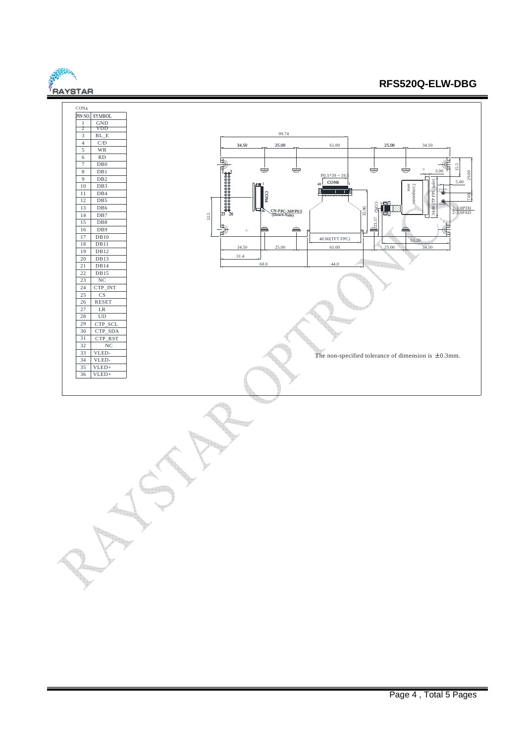#### **FRAYSTAR RFS520Q-ELW-DBG**  CON4 PIN NO. SYMBOL 1 VDD GND 2 99.74 3 BL\_E  $\frac{4}{5}$ C/D  $25.00$ 34.50 25.00 **61.00** 61.00 **25.00** 34.50 5 WR 6 RD 7 DB0 15.5  $\overline{DB1}$ 8 3.00 29.00  $\frac{9}{9}$  $\frac{1}{\text{DB2}}$  $P0.5*39 = 19.5$ 5.00 34.00 (TP FPC hole) DB3  $_{40}$  CON6  $_{1}$ 10 1 er<br>Ekstern ComponentVLED+ 11 D<sub>B4</sub> TP FPC CON4 ୍¦ 12 D<sub>B5</sub>  $0000$ C 10 13 DB6  $\overline{M}$ VLED-ON2 35.90 2-1.0PTH 2-3.0PAD 36 (Down-Side) CN-FPC-36P/P0.5 14 DB7 32.5 23.17 15 DB8 16 DB9 17 DB10 40.00(TFT FPC) 53.20 18 DB<sub>11</sub> 34.50 25.00 61.00 25.00 34.50 19  $DB12$ 31.4 20  $\overline{DB13}$ 68.0 44.0 21  $\mathbb{Z}$  $DB14$  $DB15$ 22 NC 23 CTP\_INT 24  $\overline{c}$ 25 RESET 26 LR 27 28 UD i<br>Lini 29 CTP\_SCL 30 CTP\_SDA 31 CTP\_RST 32 NC VLED-33 The non-specified tolerance of dimension is  $\pm 0.3$ mm. 34 VLED-35 VLED+ 36 VLED+ da<sub>an</sub>